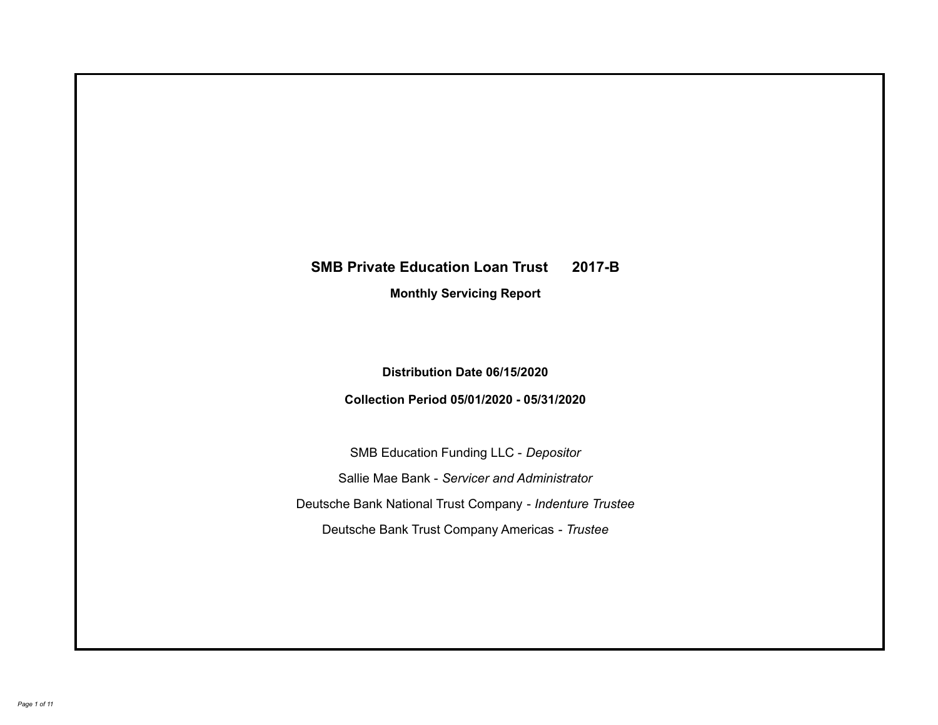# **SMB Private Education Loan Trust 2017-B Monthly Servicing Report**

**Distribution Date 06/15/2020**

**Collection Period 05/01/2020 - 05/31/2020**

SMB Education Funding LLC - *Depositor* Sallie Mae Bank - *Servicer and Administrator* Deutsche Bank National Trust Company - *Indenture Trustee* Deutsche Bank Trust Company Americas - *Trustee*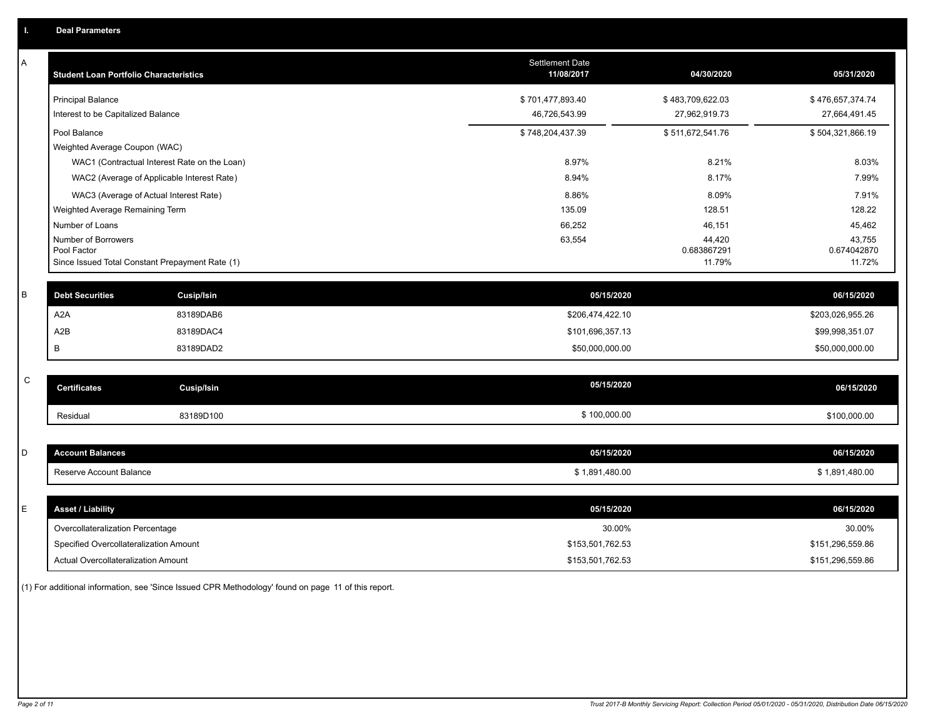| A           | <b>Student Loan Portfolio Characteristics</b> |                                                 | <b>Settlement Date</b><br>11/08/2017 | 04/30/2020                      | 05/31/2020                      |
|-------------|-----------------------------------------------|-------------------------------------------------|--------------------------------------|---------------------------------|---------------------------------|
|             | <b>Principal Balance</b>                      |                                                 | \$701,477,893.40                     | \$483,709,622.03                | \$476,657,374.74                |
|             | Interest to be Capitalized Balance            |                                                 | 46,726,543.99                        | 27,962,919.73                   | 27,664,491.45                   |
|             | Pool Balance                                  |                                                 | \$748,204,437.39                     | \$511,672,541.76                | \$504,321,866.19                |
|             | Weighted Average Coupon (WAC)                 |                                                 |                                      |                                 |                                 |
|             |                                               | WAC1 (Contractual Interest Rate on the Loan)    | 8.97%                                | 8.21%                           | 8.03%                           |
|             |                                               | WAC2 (Average of Applicable Interest Rate)      | 8.94%                                | 8.17%                           | 7.99%                           |
|             | WAC3 (Average of Actual Interest Rate)        |                                                 | 8.86%                                | 8.09%                           | 7.91%                           |
|             | Weighted Average Remaining Term               |                                                 | 135.09                               | 128.51                          | 128.22                          |
|             | Number of Loans                               |                                                 | 66,252                               | 46,151                          | 45,462                          |
|             | Number of Borrowers<br>Pool Factor            | Since Issued Total Constant Prepayment Rate (1) | 63,554                               | 44,420<br>0.683867291<br>11.79% | 43,755<br>0.674042870<br>11.72% |
|             |                                               |                                                 |                                      |                                 |                                 |
| В           | <b>Debt Securities</b>                        | <b>Cusip/Isin</b>                               | 05/15/2020                           |                                 | 06/15/2020                      |
|             | A <sub>2</sub> A                              | 83189DAB6                                       | \$206,474,422.10                     |                                 | \$203,026,955.26                |
|             | A <sub>2</sub> B                              | 83189DAC4                                       | \$101,696,357.13                     |                                 | \$99,998,351.07                 |
|             | B                                             | 83189DAD2                                       | \$50,000,000.00                      |                                 | \$50,000,000.00                 |
| $\mathsf C$ |                                               |                                                 |                                      |                                 |                                 |
|             | <b>Certificates</b>                           | <b>Cusip/Isin</b>                               | 05/15/2020                           |                                 | 06/15/2020                      |
|             | Residual                                      | 83189D100                                       | \$100,000.00                         |                                 | \$100,000.00                    |
|             |                                               |                                                 |                                      |                                 |                                 |
| D           | <b>Account Balances</b>                       |                                                 | 05/15/2020                           |                                 | 06/15/2020                      |
|             | Reserve Account Balance                       |                                                 | \$1,891,480.00                       |                                 | \$1,891,480.00                  |
|             |                                               |                                                 |                                      |                                 |                                 |
| E           | <b>Asset / Liability</b>                      |                                                 | 05/15/2020                           |                                 | 06/15/2020                      |
|             | Overcollateralization Percentage              |                                                 | 30.00%                               |                                 | 30.00%                          |
|             | Specified Overcollateralization Amount        |                                                 | \$153,501,762.53                     |                                 | \$151,296,559.86                |
|             | Actual Overcollateralization Amount           |                                                 | \$153,501,762.53                     |                                 | \$151,296,559.86                |

(1) For additional information, see 'Since Issued CPR Methodology' found on page 11 of this report.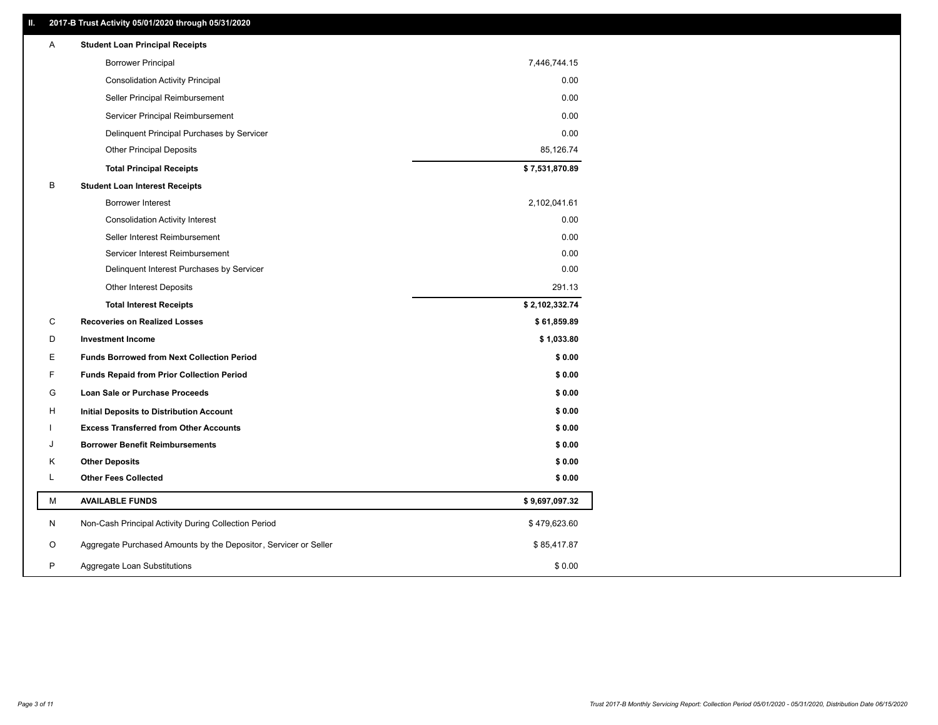### **II. 2017-B Trust Activity 05/01/2020 through 05/31/2020**

| Α | <b>Student Loan Principal Receipts</b>                           |                |
|---|------------------------------------------------------------------|----------------|
|   | <b>Borrower Principal</b>                                        | 7,446,744.15   |
|   | <b>Consolidation Activity Principal</b>                          | 0.00           |
|   | Seller Principal Reimbursement                                   | 0.00           |
|   | Servicer Principal Reimbursement                                 | 0.00           |
|   | Delinquent Principal Purchases by Servicer                       | 0.00           |
|   | <b>Other Principal Deposits</b>                                  | 85,126.74      |
|   | <b>Total Principal Receipts</b>                                  | \$7,531,870.89 |
| B | <b>Student Loan Interest Receipts</b>                            |                |
|   | Borrower Interest                                                | 2,102,041.61   |
|   | <b>Consolidation Activity Interest</b>                           | 0.00           |
|   | Seller Interest Reimbursement                                    | 0.00           |
|   | Servicer Interest Reimbursement                                  | 0.00           |
|   | Delinquent Interest Purchases by Servicer                        | 0.00           |
|   | <b>Other Interest Deposits</b>                                   | 291.13         |
|   | <b>Total Interest Receipts</b>                                   | \$2,102,332.74 |
| C | <b>Recoveries on Realized Losses</b>                             | \$61,859.89    |
| D | <b>Investment Income</b>                                         | \$1,033.80     |
| Е | <b>Funds Borrowed from Next Collection Period</b>                | \$0.00         |
| F | <b>Funds Repaid from Prior Collection Period</b>                 | \$0.00         |
| G | Loan Sale or Purchase Proceeds                                   | \$0.00         |
| H | <b>Initial Deposits to Distribution Account</b>                  | \$0.00         |
|   | <b>Excess Transferred from Other Accounts</b>                    | \$0.00         |
| J | <b>Borrower Benefit Reimbursements</b>                           | \$0.00         |
| Κ | <b>Other Deposits</b>                                            | \$0.00         |
| L | <b>Other Fees Collected</b>                                      | \$0.00         |
| М | <b>AVAILABLE FUNDS</b>                                           | \$9,697,097.32 |
| N | Non-Cash Principal Activity During Collection Period             | \$479,623.60   |
| O | Aggregate Purchased Amounts by the Depositor, Servicer or Seller | \$85,417.87    |
| P | Aggregate Loan Substitutions                                     | \$0.00         |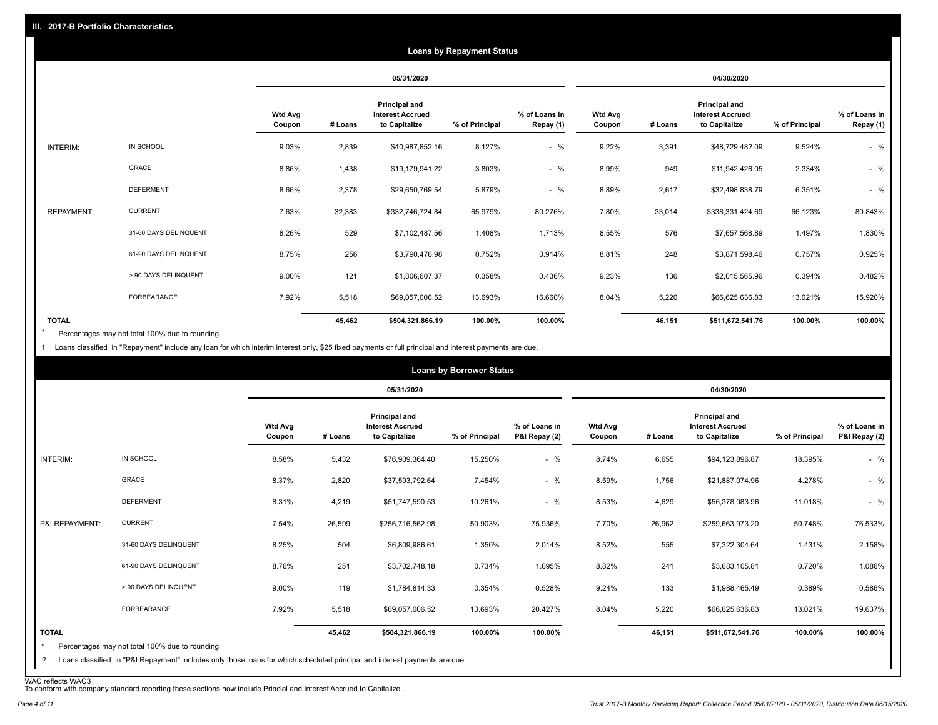| <b>Loans by Repayment Status</b> |                       |                          |            |                                                                  |                |                            |                          |         |                                                           |                |                            |
|----------------------------------|-----------------------|--------------------------|------------|------------------------------------------------------------------|----------------|----------------------------|--------------------------|---------|-----------------------------------------------------------|----------------|----------------------------|
|                                  |                       |                          | 05/31/2020 |                                                                  |                | 04/30/2020                 |                          |         |                                                           |                |                            |
|                                  |                       | <b>Wtd Avg</b><br>Coupon | # Loans    | <b>Principal and</b><br><b>Interest Accrued</b><br>to Capitalize | % of Principal | % of Loans in<br>Repay (1) | <b>Wtd Avg</b><br>Coupon | # Loans | Principal and<br><b>Interest Accrued</b><br>to Capitalize | % of Principal | % of Loans in<br>Repay (1) |
| INTERIM:                         | IN SCHOOL             | 9.03%                    | 2,839      | \$40,987,852.16                                                  | 8.127%         | $-$ %                      | 9.22%                    | 3,391   | \$48,729,482.09                                           | 9.524%         | $-$ %                      |
|                                  | <b>GRACE</b>          | 8.86%                    | 1,438      | \$19,179,941.22                                                  | 3.803%         | $-$ %                      | 8.99%                    | 949     | \$11,942,426.05                                           | 2.334%         | $-$ %                      |
|                                  | <b>DEFERMENT</b>      | 8.66%                    | 2,378      | \$29,650,769.54                                                  | 5.879%         | $-$ %                      | 8.89%                    | 2,617   | \$32,498,838.79                                           | 6.351%         | $-$ %                      |
| <b>REPAYMENT:</b>                | <b>CURRENT</b>        | 7.63%                    | 32,383     | \$332,746,724.84                                                 | 65.979%        | 80.276%                    | 7.80%                    | 33,014  | \$338,331,424.69                                          | 66.123%        | 80.843%                    |
|                                  | 31-60 DAYS DELINQUENT | 8.26%                    | 529        | \$7,102,487.56                                                   | 1.408%         | 1.713%                     | 8.55%                    | 576     | \$7,657,568.89                                            | 1.497%         | 1.830%                     |
|                                  | 61-90 DAYS DELINQUENT | 8.75%                    | 256        | \$3,790,476.98                                                   | 0.752%         | 0.914%                     | 8.81%                    | 248     | \$3,871,598.46                                            | 0.757%         | 0.925%                     |
|                                  | > 90 DAYS DELINQUENT  | 9.00%                    | 121        | \$1,806,607.37                                                   | 0.358%         | 0.436%                     | 9.23%                    | 136     | \$2,015,565.96                                            | 0.394%         | 0.482%                     |
|                                  | FORBEARANCE           | 7.92%                    | 5,518      | \$69,057,006.52                                                  | 13.693%        | 16.660%                    | 8.04%                    | 5,220   | \$66,625,636.83                                           | 13.021%        | 15.920%                    |
| <b>TOTAL</b>                     |                       |                          | 45,462     | \$504,321,866.19                                                 | 100.00%        | 100.00%                    |                          | 46,151  | \$511,672,541.76                                          | 100.00%        | 100.00%                    |

Percentages may not total 100% due to rounding \*

1 Loans classified in "Repayment" include any loan for which interim interest only, \$25 fixed payments or full principal and interest payments are due.

| <b>Loans by Borrower Status</b>           |                                                                                                                                                                              |                          |         |                                                           |                |                                |                          |         |                                                           |                |                                |
|-------------------------------------------|------------------------------------------------------------------------------------------------------------------------------------------------------------------------------|--------------------------|---------|-----------------------------------------------------------|----------------|--------------------------------|--------------------------|---------|-----------------------------------------------------------|----------------|--------------------------------|
|                                           |                                                                                                                                                                              |                          |         | 05/31/2020                                                |                |                                | 04/30/2020               |         |                                                           |                |                                |
|                                           |                                                                                                                                                                              | <b>Wtd Avg</b><br>Coupon | # Loans | Principal and<br><b>Interest Accrued</b><br>to Capitalize | % of Principal | % of Loans in<br>P&I Repay (2) | <b>Wtd Avg</b><br>Coupon | # Loans | Principal and<br><b>Interest Accrued</b><br>to Capitalize | % of Principal | % of Loans in<br>P&I Repay (2) |
| INTERIM:                                  | IN SCHOOL                                                                                                                                                                    | 8.58%                    | 5,432   | \$76,909,364.40                                           | 15.250%        | $-$ %                          | 8.74%                    | 6,655   | \$94,123,896.87                                           | 18.395%        | $-$ %                          |
|                                           | GRACE                                                                                                                                                                        | 8.37%                    | 2,820   | \$37,593,792.64                                           | 7.454%         | $-$ %                          | 8.59%                    | 1,756   | \$21,887,074.96                                           | 4.278%         | $-$ %                          |
|                                           | <b>DEFERMENT</b>                                                                                                                                                             | 8.31%                    | 4,219   | \$51,747,590.53                                           | 10.261%        | $-$ %                          | 8.53%                    | 4,629   | \$56,378,083.96                                           | 11.018%        | $-$ %                          |
| P&I REPAYMENT:                            | <b>CURRENT</b>                                                                                                                                                               | 7.54%                    | 26,599  | \$256,716,562.98                                          | 50.903%        | 75.936%                        | 7.70%                    | 26,962  | \$259,663,973.20                                          | 50.748%        | 76.533%                        |
|                                           | 31-60 DAYS DELINQUENT                                                                                                                                                        | 8.25%                    | 504     | \$6,809,986.61                                            | 1.350%         | 2.014%                         | 8.52%                    | 555     | \$7,322,304.64                                            | 1.431%         | 2.158%                         |
|                                           | 61-90 DAYS DELINQUENT                                                                                                                                                        | 8.76%                    | 251     | \$3,702,748.18                                            | 0.734%         | 1.095%                         | 8.82%                    | 241     | \$3,683,105.81                                            | 0.720%         | 1.086%                         |
|                                           | > 90 DAYS DELINQUENT                                                                                                                                                         | 9.00%                    | 119     | \$1,784,814.33                                            | 0.354%         | 0.528%                         | 9.24%                    | 133     | \$1,988,465.49                                            | 0.389%         | 0.586%                         |
|                                           | FORBEARANCE                                                                                                                                                                  | 7.92%                    | 5,518   | \$69,057,006.52                                           | 13.693%        | 20.427%                        | 8.04%                    | 5,220   | \$66,625,636.83                                           | 13.021%        | 19.637%                        |
| <b>TOTAL</b><br>$\star$<br>$\overline{2}$ | Percentages may not total 100% due to rounding<br>Loans classified in "P&I Repayment" includes only those loans for which scheduled principal and interest payments are due. |                          | 45,462  | \$504,321,866.19                                          | 100.00%        | 100.00%                        |                          | 46,151  | \$511,672,541.76                                          | 100.00%        | 100.00%                        |

WAC reflects WAC3 To conform with company standard reporting these sections now include Princial and Interest Accrued to Capitalize .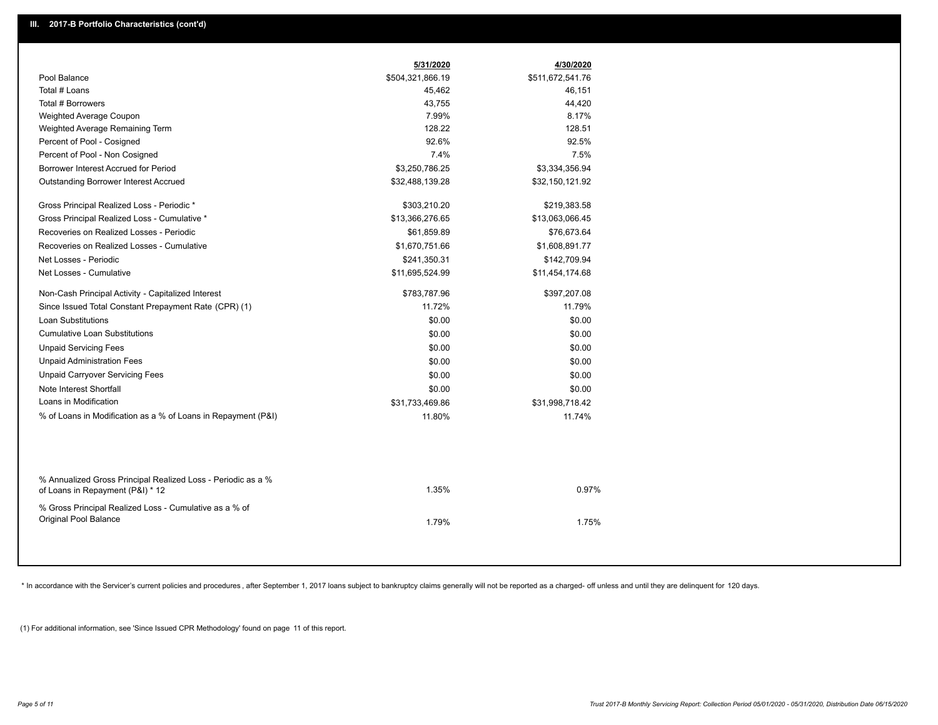|                                                               | 5/31/2020        | 4/30/2020        |
|---------------------------------------------------------------|------------------|------------------|
| Pool Balance                                                  | \$504,321,866.19 | \$511,672,541.76 |
| Total # Loans                                                 | 45,462           | 46,151           |
| Total # Borrowers                                             | 43,755           | 44,420           |
| Weighted Average Coupon                                       | 7.99%            | 8.17%            |
| Weighted Average Remaining Term                               | 128.22           | 128.51           |
| Percent of Pool - Cosigned                                    | 92.6%            | 92.5%            |
| Percent of Pool - Non Cosigned                                | 7.4%             | 7.5%             |
| Borrower Interest Accrued for Period                          | \$3,250,786.25   | \$3,334,356.94   |
| Outstanding Borrower Interest Accrued                         | \$32,488,139.28  | \$32,150,121.92  |
|                                                               |                  |                  |
| Gross Principal Realized Loss - Periodic *                    | \$303,210.20     | \$219,383.58     |
| Gross Principal Realized Loss - Cumulative *                  | \$13,366,276.65  | \$13,063,066.45  |
| Recoveries on Realized Losses - Periodic                      | \$61,859.89      | \$76,673.64      |
| Recoveries on Realized Losses - Cumulative                    | \$1,670,751.66   | \$1,608,891.77   |
| Net Losses - Periodic                                         | \$241,350.31     | \$142,709.94     |
| Net Losses - Cumulative                                       | \$11,695,524.99  | \$11,454,174.68  |
| Non-Cash Principal Activity - Capitalized Interest            | \$783,787.96     | \$397,207.08     |
| Since Issued Total Constant Prepayment Rate (CPR) (1)         | 11.72%           | 11.79%           |
| Loan Substitutions                                            | \$0.00           | \$0.00           |
| <b>Cumulative Loan Substitutions</b>                          | \$0.00           | \$0.00           |
| <b>Unpaid Servicing Fees</b>                                  | \$0.00           | \$0.00           |
| <b>Unpaid Administration Fees</b>                             | \$0.00           | \$0.00           |
| <b>Unpaid Carryover Servicing Fees</b>                        | \$0.00           | \$0.00           |
| Note Interest Shortfall                                       | \$0.00           | \$0.00           |
| Loans in Modification                                         | \$31,733,469.86  | \$31,998,718.42  |
| % of Loans in Modification as a % of Loans in Repayment (P&I) | 11.80%           | 11.74%           |
|                                                               |                  |                  |
|                                                               |                  |                  |
|                                                               |                  |                  |
| % Annualized Gross Principal Realized Loss - Periodic as a %  |                  |                  |
| of Loans in Repayment (P&I) * 12                              | 1.35%            | 0.97%            |
| % Gross Principal Realized Loss - Cumulative as a % of        |                  |                  |
| Original Pool Balance                                         | 1.79%            | 1.75%            |
|                                                               |                  |                  |
|                                                               |                  |                  |

\* In accordance with the Servicer's current policies and procedures, after September 1, 2017 loans subject to bankruptcy claims generally will not be reported as a charged- off unless and until they are delinquent for 120

(1) For additional information, see 'Since Issued CPR Methodology' found on page 11 of this report.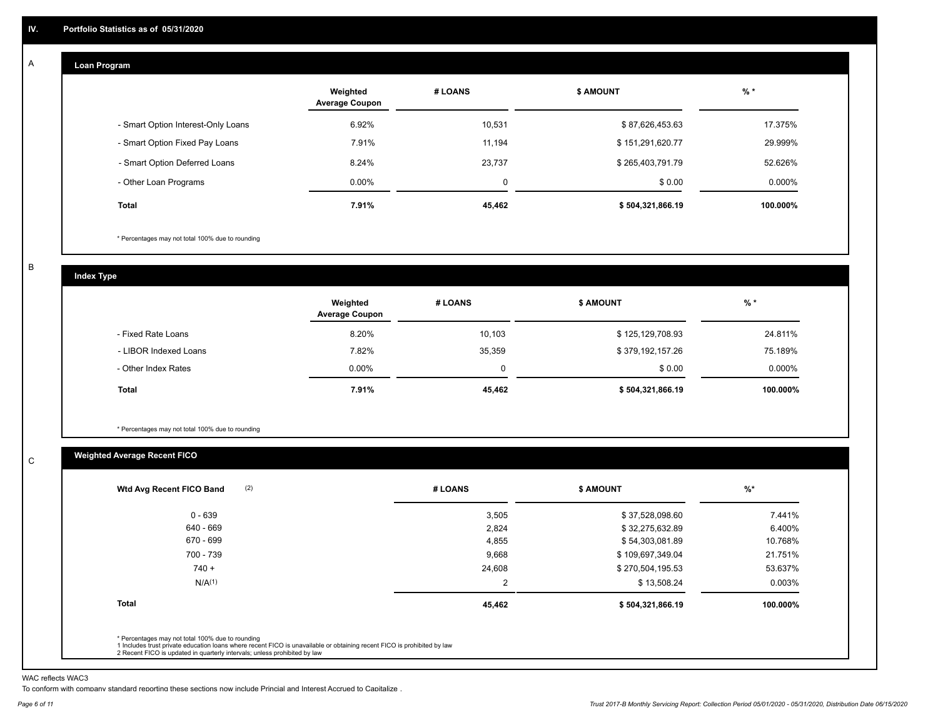#### **Loan Program**  A

|                                    | Weighted<br><b>Average Coupon</b> | # LOANS     | <b>\$ AMOUNT</b> | $%$ *    |
|------------------------------------|-----------------------------------|-------------|------------------|----------|
| - Smart Option Interest-Only Loans | 6.92%                             | 10,531      | \$87,626,453.63  | 17.375%  |
| - Smart Option Fixed Pay Loans     | 7.91%                             | 11.194      | \$151,291,620.77 | 29.999%  |
| - Smart Option Deferred Loans      | 8.24%                             | 23.737      | \$265,403,791.79 | 52.626%  |
| - Other Loan Programs              | $0.00\%$                          | $\mathbf 0$ | \$0.00           | 0.000%   |
| <b>Total</b>                       | 7.91%                             | 45,462      | \$504,321,866.19 | 100.000% |

\* Percentages may not total 100% due to rounding

B

C

**Index Type**

|                       | Weighted<br><b>Average Coupon</b> | # LOANS  | <b>\$ AMOUNT</b> | % *      |
|-----------------------|-----------------------------------|----------|------------------|----------|
| - Fixed Rate Loans    | 8.20%                             | 10,103   | \$125,129,708.93 | 24.811%  |
| - LIBOR Indexed Loans | 7.82%                             | 35,359   | \$379,192,157.26 | 75.189%  |
| - Other Index Rates   | $0.00\%$                          | $\Omega$ | \$0.00           | 0.000%   |
| <b>Total</b>          | 7.91%                             | 45,462   | \$504,321,866.19 | 100.000% |

\* Percentages may not total 100% due to rounding

## **Weighted Average Recent FICO**

| $0 - 639$          | 3,505  | \$37,528,098.60  | 7.441%   |
|--------------------|--------|------------------|----------|
| 640 - 669          | 2,824  | \$32,275,632.89  | 6.400%   |
| 670 - 699          | 4,855  | \$54,303,081.89  | 10.768%  |
| 700 - 739          | 9,668  | \$109,697,349.04 | 21.751%  |
| $740 +$            | 24,608 | \$270,504,195.53 | 53.637%  |
| N/A <sup>(1)</sup> | 2      | \$13,508.24      | 0.003%   |
| <b>Total</b>       | 45,462 | \$504,321,866.19 | 100.000% |

WAC reflects WAC3

To conform with company standard reporting these sections now include Princial and Interest Accrued to Capitalize .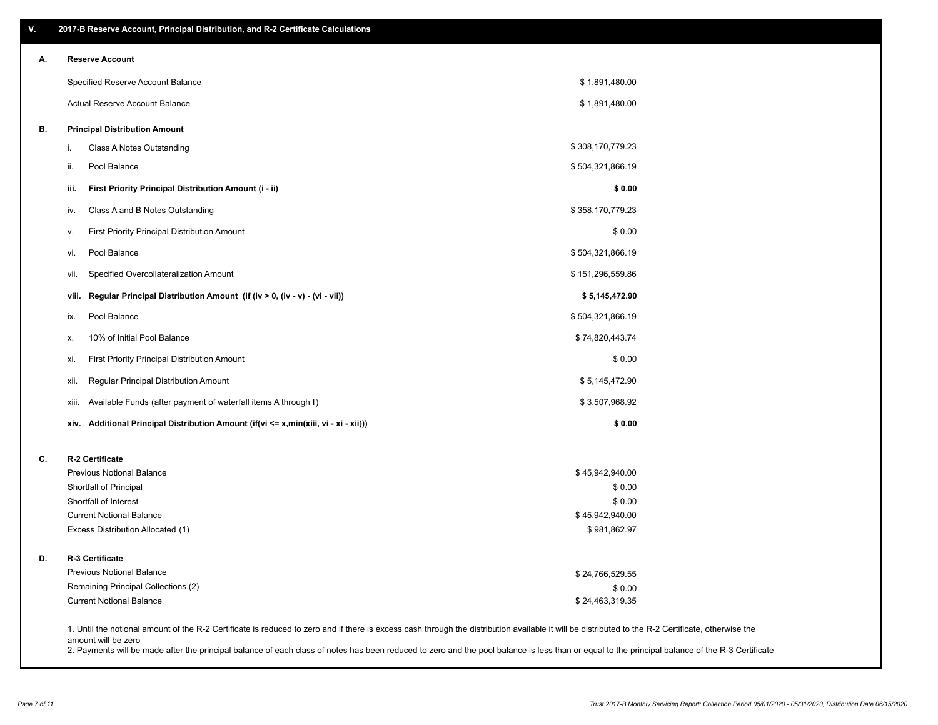| А. |                                                                      | <b>Reserve Account</b>                                                               |                                 |
|----|----------------------------------------------------------------------|--------------------------------------------------------------------------------------|---------------------------------|
|    |                                                                      | Specified Reserve Account Balance                                                    | \$1,891,480.00                  |
|    |                                                                      | Actual Reserve Account Balance                                                       | \$1,891,480.00                  |
| В. |                                                                      | <b>Principal Distribution Amount</b>                                                 |                                 |
|    | i.                                                                   | Class A Notes Outstanding                                                            | \$308,170,779.23                |
|    | ii.                                                                  | Pool Balance                                                                         | \$504,321,866.19                |
|    | iii.                                                                 | First Priority Principal Distribution Amount (i - ii)                                | \$0.00                          |
|    | IV.                                                                  | Class A and B Notes Outstanding                                                      | \$358,170,779.23                |
|    | ٧.                                                                   | <b>First Priority Principal Distribution Amount</b>                                  | \$0.00                          |
|    | vi.                                                                  | Pool Balance                                                                         | \$504,321,866.19                |
|    | vii.                                                                 | Specified Overcollateralization Amount                                               | \$151,296,559.86                |
|    | viii.                                                                | Regular Principal Distribution Amount (if (iv > 0, (iv - v) - (vi - vii))            | \$5,145,472.90                  |
|    | ix.                                                                  | Pool Balance                                                                         | \$504,321,866.19                |
|    | Х.                                                                   | 10% of Initial Pool Balance                                                          | \$74,820,443.74                 |
|    | xi.                                                                  | First Priority Principal Distribution Amount                                         | \$0.00                          |
|    | xii.                                                                 | Regular Principal Distribution Amount                                                | \$5,145,472.90                  |
|    | xiii.                                                                | Available Funds (after payment of waterfall items A through I)                       | \$3,507,968.92                  |
|    |                                                                      | xiv. Additional Principal Distribution Amount (if(vi <= x,min(xiii, vi - xi - xii))) | \$0.00                          |
| C. |                                                                      | R-2 Certificate                                                                      |                                 |
|    |                                                                      | <b>Previous Notional Balance</b>                                                     | \$45,942,940.00                 |
|    |                                                                      | Shortfall of Principal                                                               | \$0.00                          |
|    |                                                                      | Shortfall of Interest                                                                | \$0.00                          |
|    | <b>Current Notional Balance</b><br>Excess Distribution Allocated (1) |                                                                                      | \$45,942,940.00<br>\$981,862.97 |
| D. |                                                                      | <b>R-3 Certificate</b>                                                               |                                 |
|    |                                                                      | <b>Previous Notional Balance</b>                                                     | \$24,766,529.55                 |
|    |                                                                      | Remaining Principal Collections (2)                                                  | \$0.00                          |
|    |                                                                      | <b>Current Notional Balance</b>                                                      | \$24,463,319.35                 |

1. Until the notional amount of the R-2 Certificate is reduced to zero and if there is excess cash through the distribution available it will be distributed to the R-2 Certificate, otherwise the amount will be zero

2. Payments will be made after the principal balance of each class of notes has been reduced to zero and the pool balance is less than or equal to the principal balance of the R-3 Certificate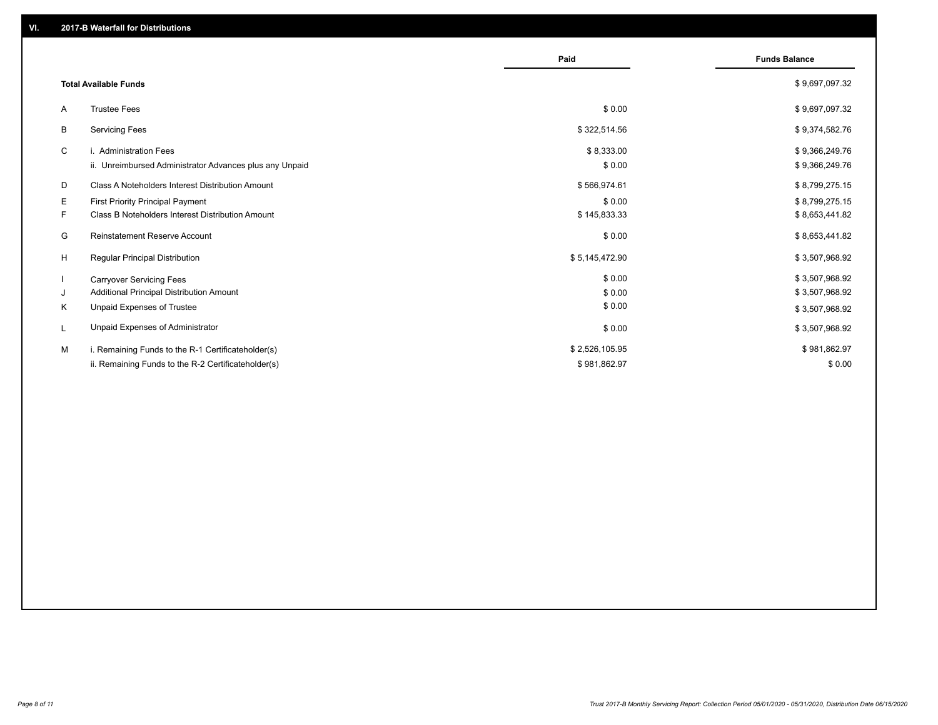|    |                                                         | Paid           | <b>Funds Balance</b> |
|----|---------------------------------------------------------|----------------|----------------------|
|    | <b>Total Available Funds</b>                            |                | \$9,697,097.32       |
| A  | <b>Trustee Fees</b>                                     | \$0.00         | \$9,697,097.32       |
| B  | <b>Servicing Fees</b>                                   | \$322,514.56   | \$9,374,582.76       |
| C  | i. Administration Fees                                  | \$8,333.00     | \$9,366,249.76       |
|    | ii. Unreimbursed Administrator Advances plus any Unpaid | \$0.00         | \$9,366,249.76       |
| D  | Class A Noteholders Interest Distribution Amount        | \$566,974.61   | \$8,799,275.15       |
| Е  | First Priority Principal Payment                        | \$0.00         | \$8,799,275.15       |
| F. | <b>Class B Noteholders Interest Distribution Amount</b> | \$145,833.33   | \$8,653,441.82       |
| G  | <b>Reinstatement Reserve Account</b>                    | \$0.00         | \$8,653,441.82       |
| H  | Regular Principal Distribution                          | \$5,145,472.90 | \$3,507,968.92       |
|    | <b>Carryover Servicing Fees</b>                         | \$0.00         | \$3,507,968.92       |
| J  | Additional Principal Distribution Amount                | \$0.00         | \$3,507,968.92       |
| Κ  | Unpaid Expenses of Trustee                              | \$0.00         | \$3,507,968.92       |
| L  | Unpaid Expenses of Administrator                        | \$0.00         | \$3,507,968.92       |
| м  | i. Remaining Funds to the R-1 Certificateholder(s)      | \$2,526,105.95 | \$981,862.97         |
|    | ii. Remaining Funds to the R-2 Certificateholder(s)     | \$981,862.97   | \$0.00               |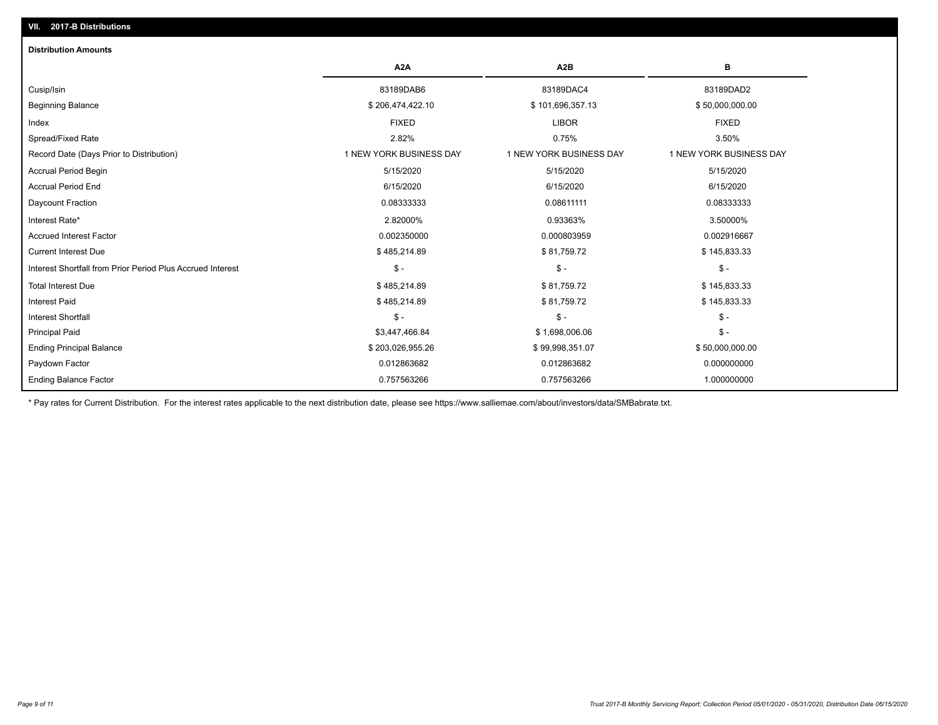# Ending Balance Factor Paydown Factor 0.012863682 0.012863682 0.000000000 Ending Principal Balance \$ 203,026,955.26 \$ \$9,998,351.07 \$ \$99,998,351.07 \$50,000,000.00 Principal Paid \$3,447,466.84 \$ 1,698,006.06 \$ - Interest Shortfall \$ - \$ - \$ - Interest Paid \$ 485,214.89 \$ 81,759.72 \$ 145,833.33 Total Interest Due \$145,833.33 \$ \$145,833.33 \$ \$1,759.72 \$ \$1,759.72 \$ \$1,759.72 Interest Shortfall from Prior Period Plus Accrued Interest \$ - \$ - \$ - Current Interest Due \$ 485,214.89 \$ 81,759.72 \$ 145,833.33 Accrued Interest Factor 0.002350000 0.000803959 0.002916667 Interest Rate\* 2.82000% 0.93363% 3.50000% Daycount Fraction 0.08333333 0.08611111 0.08333333 Accrual Period End 6/15/2020 6/15/2020 6/15/2020 Accrual Period Begin 5/15/2020 5/15/2020 5/15/2020 Record Date (Days Prior to Distribution) 1 1 NEW YORK BUSINESS DAY 1 NEW YORK BUSINESS DAY 1 NEW YORK BUSINESS DAY Spread/Fixed Rate 2.82% 0.75% 3.50% Index FIXED LIBOR FIXED Beginning Balance \$ 206,474,422.10 \$ 101,696,357.13 \$ 50,000,000.00 Cusip/Isin 83189DAB6 83189DAC4 83189DAD2 **A2A A2B B** 0.757563266 0.757563266 1.000000000 **Distribution Amounts**

\* Pay rates for Current Distribution. For the interest rates applicable to the next distribution date, please see https://www.salliemae.com/about/investors/data/SMBabrate.txt.

**VII. 2017-B Distributions**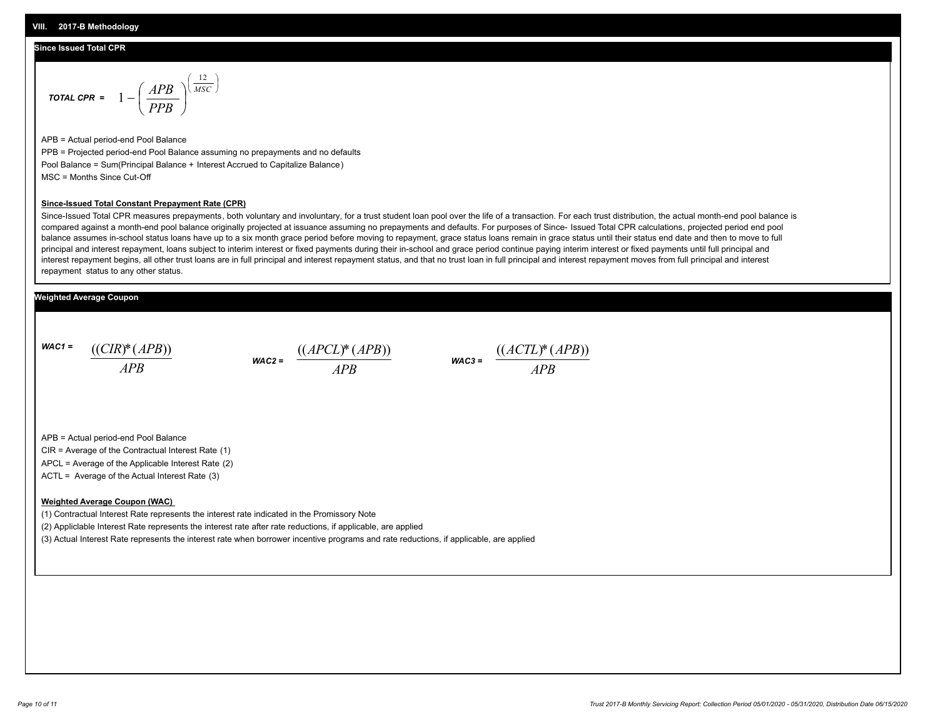#### **Since Issued Total CPR**

$$
\text{total CPR} = 1 - \left(\frac{APB}{PPB}\right)^{\left(\frac{12}{MSC}\right)}
$$

APB = Actual period-end Pool Balance PPB = Projected period-end Pool Balance assuming no prepayments and no defaults Pool Balance = Sum(Principal Balance + Interest Accrued to Capitalize Balance) MSC = Months Since Cut-Off

#### **Since-Issued Total Constant Prepayment Rate (CPR)**

Since-Issued Total CPR measures prepayments, both voluntary and involuntary, for a trust student loan pool over the life of a transaction. For each trust distribution, the actual month-end pool balance is compared against a month-end pool balance originally projected at issuance assuming no prepayments and defaults. For purposes of Since- Issued Total CPR calculations, projected period end pool balance assumes in-school status loans have up to a six month grace period before moving to repayment, grace status loans remain in grace status until their status end date and then to move to full principal and interest repayment, loans subject to interim interest or fixed payments during their in-school and grace period continue paying interim interest or fixed payments until full principal and interest repayment begins, all other trust loans are in full principal and interest repayment status, and that no trust loan in full principal and interest repayment moves from full principal and interest repayment status to any other status.

#### **Weighted Average Coupon**

*WAC1 = APB* ((*CIR*)\*(*APB*))

*WAC2 = APB*  $\frac{((APCL)^{*}(APB))}{APB}$  wac<sub>3</sub> =  $\frac{((ACTL)^{*}(A)P}{APB}$ 



APB = Actual period-end Pool Balance

CIR = Average of the Contractual Interest Rate (1)

APCL = Average of the Applicable Interest Rate (2)

ACTL = Average of the Actual Interest Rate (3)

#### **Weighted Average Coupon (WAC)**

(1) Contractual Interest Rate represents the interest rate indicated in the Promissory Note

(2) Appliclable Interest Rate represents the interest rate after rate reductions, if applicable, are applied

(3) Actual Interest Rate represents the interest rate when borrower incentive programs and rate reductions, if applicable, are applied